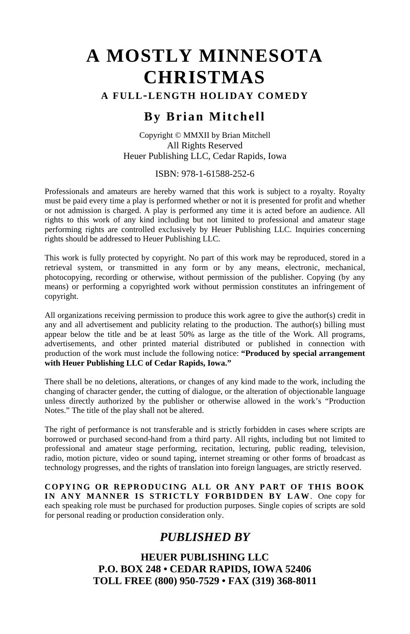#### **A FULL-LENGTH HOLIDAY COMEDY**

# **By Brian Mitchell**

Copyright © MMXII by Brian Mitchell All Rights Reserved Heuer Publishing LLC, Cedar Rapids, Iowa

#### ISBN: 978-1-61588-252-6

Professionals and amateurs are hereby warned that this work is subject to a royalty. Royalty must be paid every time a play is performed whether or not it is presented for profit and whether or not admission is charged. A play is performed any time it is acted before an audience. All rights to this work of any kind including but not limited to professional and amateur stage performing rights are controlled exclusively by Heuer Publishing LLC. Inquiries concerning rights should be addressed to Heuer Publishing LLC.

This work is fully protected by copyright. No part of this work may be reproduced, stored in a retrieval system, or transmitted in any form or by any means, electronic, mechanical, photocopying, recording or otherwise, without permission of the publisher. Copying (by any means) or performing a copyrighted work without permission constitutes an infringement of copyright.

All organizations receiving permission to produce this work agree to give the author(s) credit in any and all advertisement and publicity relating to the production. The author(s) billing must appear below the title and be at least 50% as large as the title of the Work. All programs, advertisements, and other printed material distributed or published in connection with production of the work must include the following notice: **"Produced by special arrangement with Heuer Publishing LLC of Cedar Rapids, Iowa."**

There shall be no deletions, alterations, or changes of any kind made to the work, including the changing of character gender, the cutting of dialogue, or the alteration of objectionable language unless directly authorized by the publisher or otherwise allowed in the work's "Production Notes." The title of the play shall not be altered.

The right of performance is not transferable and is strictly forbidden in cases where scripts are borrowed or purchased second-hand from a third party. All rights, including but not limited to professional and amateur stage performing, recitation, lecturing, public reading, television, radio, motion picture, video or sound taping, internet streaming or other forms of broadcast as technology progresses, and the rights of translation into foreign languages, are strictly reserved.

**COPYING OR REPRODUCING ALL OR ANY PART OF THIS BOOK IN ANY MANNER IS STRICTLY FORBIDDEN BY LAW**. One copy for each speaking role must be purchased for production purposes. Single copies of scripts are sold for personal reading or production consideration only.

# *PUBLISHED BY*

**HEUER PUBLISHING LLC P.O. BOX 248 • CEDAR RAPIDS, IOWA 52406 TOLL FREE (800) 950-7529 • FAX (319) 368-8011**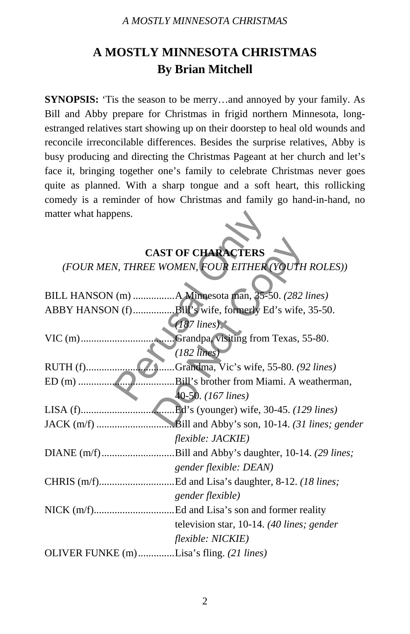# **A MOSTLY MINNESOTA CHRISTMAS By Brian Mitchell**

**SYNOPSIS:** 'Tis the season to be merry...and annoyed by your family. As Bill and Abby prepare for Christmas in frigid northern Minnesota, longestranged relatives start showing up on their doorstep to heal old wounds and reconcile irreconcilable differences. Besides the surprise relatives, Abby is busy producing and directing the Christmas Pageant at her church and let's face it, bringing together one's family to celebrate Christmas never goes quite as planned. With a sharp tongue and a soft heart, this rollicking comedy is a reminder of how Christmas and family go hand-in-hand, no matter what happens.

# **CAST OF CHARACTERS** *(FOUR MEN, THREE WOMEN, FOUR EITHER (YOUTH ROLES))*

| matter what happens.                               |                                                        |
|----------------------------------------------------|--------------------------------------------------------|
|                                                    |                                                        |
|                                                    | <b>CAST OF CHARACTERS</b>                              |
| (FOUR MEN, THREE WOMEN, FOUR EITHER (YOUTH ROLES)) |                                                        |
|                                                    |                                                        |
|                                                    |                                                        |
|                                                    | BILL HANSON (m) A Minnesota man, 35-50. (282 lines)    |
|                                                    | ABBY HANSON (f)Bill's wife, formerly Ed's wife, 35-50. |
|                                                    | $(187$ lines)                                          |
|                                                    |                                                        |
|                                                    | $(182$ lines)                                          |
|                                                    | Grandma, Vic's wife, 55-80. (92 lines)                 |
|                                                    | .Bill's brother from Miami. A weatherman,              |
|                                                    | 40-50. (167 lines)                                     |
|                                                    |                                                        |
|                                                    |                                                        |
|                                                    | <i>flexible: JACKIE</i> )                              |
|                                                    | DIANE (m/f)Bill and Abby's daughter, 10-14. (29 lines; |
|                                                    | gender flexible: DEAN)                                 |
|                                                    | CHRIS (m/f)Ed and Lisa's daughter, 8-12. (18 lines;    |
|                                                    | gender flexible)                                       |
|                                                    |                                                        |
|                                                    | television star, 10-14. (40 lines; gender              |
|                                                    | flexible: NICKIE)                                      |
| OLIVER FUNKE (m) Lisa's fling. (21 lines)          |                                                        |
|                                                    |                                                        |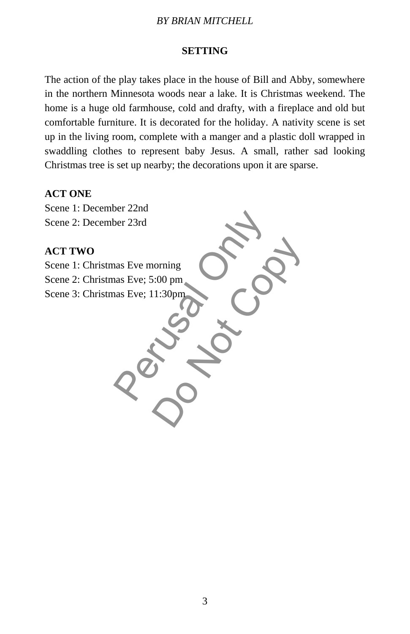# **SETTING**

The action of the play takes place in the house of Bill and Abby, somewhere in the northern Minnesota woods near a lake. It is Christmas weekend. The home is a huge old farmhouse, cold and drafty, with a fireplace and old but comfortable furniture. It is decorated for the holiday. A nativity scene is set up in the living room, complete with a manger and a plastic doll wrapped in swaddling clothes to represent baby Jesus. A small, rather sad looking Christmas tree is set up nearby; the decorations upon it are sparse.

#### **ACT ONE**

Scene 1: December 22nd Scene 2: December 23rd

# **ACT TWO**

Scene 1: Christmas Eve morning Scene 2: Christmas Eve; 5:00 pm Scene 3: Christmas Eve; 11:30pm

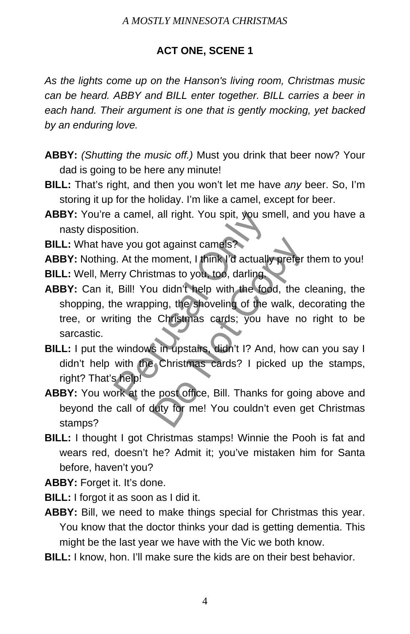# **ACT ONE, SCENE 1**

*As the lights come up on the Hanson's living room, Christmas music can be heard. ABBY and BILL enter together. BILL carries a beer in each hand. Their argument is one that is gently mocking, yet backed by an enduring love.*

- **ABBY:** *(Shutting the music off.)* Must you drink that beer now? Your dad is going to be here any minute!
- **BILL:** That's right, and then you won't let me have *any* beer. So, I'm storing it up for the holiday. I'm like a camel, except for beer.
- ABBY: You're a camel, all right. You spit, you smell, and you have a nasty disposition.

**BILL:** What have you got against camels?

**ABBY:** Nothing. At the moment, I think I'd actually prefer them to you! **BILL:** Well, Merry Christmas to you, too, darling.

- **ABBY:** Can it, Bill! You didn't help with the food, the cleaning, the shopping, the wrapping, the shoveling of the walk, decorating the tree, or writing the Christmas cards; you have no right to be sarcastic. a camel, all right. You spit, you sme<br>sition.<br>we you got against camels?<br>J. At the moment, I think I'd actually f<br>rry Christmas to you, too, darling.<br>Bill! You didn't help with the food.<br>ne wrapping, the shoveling of the w ot against camels?<br>
moment, I think I'd actually prefer<br>
ttmas to you, too, darling<br>
u didn't help with the food, the c<br>
bing, the shoveling of the walk, de<br>
Christmas cards; you have no<br>
s in upstaits, didn't I? And, how
- **BILL:** I put the windows in upstairs, didn't I? And, how can you say I didn't help with the Christmas cards? I picked up the stamps, right? That's help!
- **ABBY:** You work at the post office, Bill. Thanks for going above and beyond the call of duty for me! You couldn't even get Christmas stamps?
- **BILL:** I thought I got Christmas stamps! Winnie the Pooh is fat and wears red, doesn't he? Admit it; you've mistaken him for Santa before, haven't you?

**ABBY:** Forget it. It's done.

- **BILL:** I forgot it as soon as I did it.
- **ABBY:** Bill, we need to make things special for Christmas this year. You know that the doctor thinks your dad is getting dementia. This might be the last year we have with the Vic we both know.
- **BILL:** I know, hon. I'll make sure the kids are on their best behavior.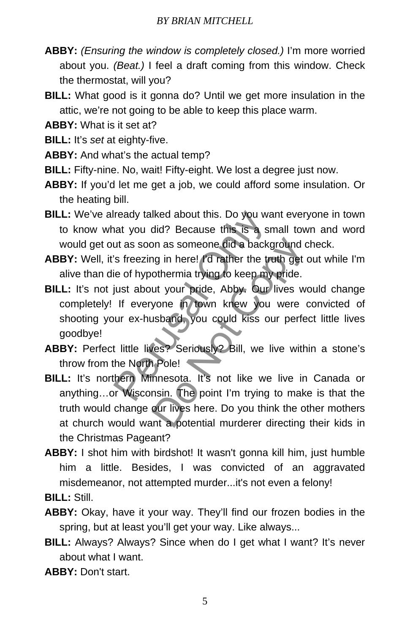- **ABBY:** *(Ensuring the window is completely closed.)* I'm more worried about you. *(Beat.)* I feel a draft coming from this window. Check the thermostat, will you?
- **BILL:** What good is it gonna do? Until we get more insulation in the attic, we're not going to be able to keep this place warm.

**ABBY:** What is it set at?

- **BILL:** It's *set* at eighty-five.
- **ABBY:** And what's the actual temp?
- **BILL:** Fifty-nine. No, wait! Fifty-eight. We lost a degree just now.
- **ABBY:** If you'd let me get a job, we could afford some insulation. Or the heating bill.
- **BILL:** We've already talked about this. Do you want everyone in town to know what you did? Because this is a small town and word would get out as soon as someone did a background check.
- **ABBY:** Well, it's freezing in here! I'd rather the truth get out while I'm alive than die of hypothermia trying to keep my pride.
- **BILL:** It's not just about your pride, Abby. Our lives would change completely! If everyone in town knew you were convicted of shooting your ex-husband, you could kiss our perfect little lives goodbye! ready talked about this. Do you wan<br>nat you did? Because this is a small<br>nat you did? Because this is a small<br>this soon as someone did a backgr<br>"is freezing in here! I'd rather the trut<br>ie of hypothermia trying to keep my on as someone did a background only in here! I'd rather the truth get othermia trying to keep my pride.<br>
ut your pride, Abby. Our lives w yone in town knew you were respond, you could kiss our perfects.<br>
usband, you could
- **ABBY:** Perfect little lives? Seriously? Bill, we live within a stone's throw from the North Pole!
- **BILL:** It's northern Minnesota. It's not like we live in Canada or anything…or Wisconsin. The point I'm trying to make is that the truth would change our lives here. Do you think the other mothers at church would want a potential murderer directing their kids in the Christmas Pageant?
- **ABBY:** I shot him with birdshot! It wasn't gonna kill him, just humble him a little. Besides, I was convicted of an aggravated misdemeanor, not attempted murder...it's not even a felony!
- **BILL:** Still.
- **ABBY:** Okay, have it your way. They'll find our frozen bodies in the spring, but at least you'll get your way. Like always...
- **BILL:** Always? Always? Since when do I get what I want? It's never about what I want.

**ABBY:** Don't start.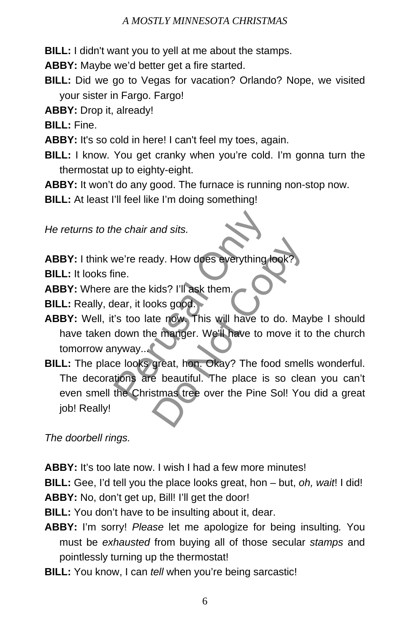**BILL:** I didn't want you to yell at me about the stamps.

**ABBY:** Maybe we'd better get a fire started.

**BILL:** Did we go to Vegas for vacation? Orlando? Nope, we visited your sister in Fargo. Fargo!

**ABBY:** Drop it, already!

**BILL:** Fine.

**ABBY:** It's so cold in here! I can't feel my toes, again.

**BILL:** I know. You get cranky when you're cold. I'm gonna turn the thermostat up to eighty-eight.

**ABBY:** It won't do any good. The furnace is running non-stop now.

**BILL:** At least I'll feel like I'm doing something!

*He returns to the chair and sits.* 

ABBY: I think we're ready. How does everything loo

**BILL:** It looks fine.

**ABBY:** Where are the kids? I'll ask them.

**BILL:** Really, dear, it looks good.

- **ABBY:** Well, it's too late now. This will have to do. Maybe I should have taken down the manger. We'll have to move it to the church tomorrow anyway...
- **BILL:** The place looks great, hon. Okay? The food smells wonderful. The decorations are beautiful. The place is so clean you can't even smell the Christmas tree over the Pine Sol! You did a great job! Really! The chair and sits.<br>
We're ready. How does everything for<br>
ine.<br>
are the kids? I'll ask them.<br>
lear, it looks good.<br>
I's too late now. This will have to do<br>
down the manger. We'll have to mo<br>
nyway...<br>
ce looks great, hon. dy. How does everything look?<br>
sids? I'll ask them.<br>
oks good.<br>
te now. This will have to do. Ma<br>
e manger. We'll have to move it t<br>
great, hon. Okay? The food smel<br>
e beautiful. The place is so clea<br>
stmas tree over the P

*The doorbell rings.*

**ABBY:** It's too late now. I wish I had a few more minutes!

**BILL:** Gee, I'd tell you the place looks great, hon – but, *oh, wait*! I did! **ABBY:** No, don't get up, Bill! I'll get the door!

**BILL:** You don't have to be insulting about it, dear.

- **ABBY:** I'm sorry! *Please* let me apologize for being insulting*.* You must be *exhausted* from buying all of those secular *stamps* and pointlessly turning up the thermostat!
- **BILL:** You know, I can *tell* when you're being sarcastic!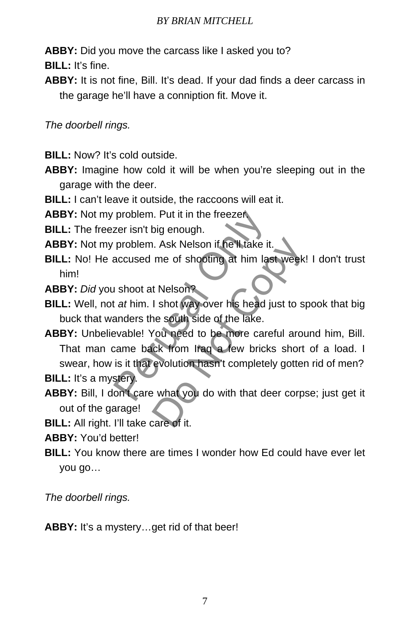**ABBY:** Did you move the carcass like I asked you to?

**BILL:** It's fine.

**ABBY:** It is not fine, Bill. It's dead. If your dad finds a deer carcass in the garage he'll have a conniption fit. Move it.

*The doorbell rings.* 

- **BILL:** Now? It's cold outside.
- **ABBY:** Imagine how cold it will be when you're sleeping out in the garage with the deer.
- **BILL:** I can't leave it outside, the raccoons will eat it.

**ABBY:** Not my problem. Put it in the freezer.

**BILL:** The freezer isn't big enough.

- **ABBY:** Not my problem. Ask Nelson if he'll take it.
- **BILL:** No! He accused me of shooting at him last week! I don't trust him!
- **ABBY:** *Did* you shoot at Nelson?
- **BILL:** Well, not *at* him. I shot way over his head just to spook that big buck that wanders the south side of the lake.
- **ABBY:** Unbelievable! You need to be more careful around him, Bill. That man came back from Iraq a few bricks short of a load. I swear, how is it that evolution hasn't completely gotten rid of men? problem. Put it in the freezer<br>zer isn't big enough.<br>problem. Ask Nelson if he'll take it.<br>accused me of shooting at him last.<br>i shoot at Nelson?<br>t at him. I shot way over his head jus<br>anders the south side of the lake.<br>ev I. Ask Nelson if he'll take it.<br>
me of shooting at him last week!<br>
t Nelson?<br>
I shot way over his head just to sp<br>
ne south side of the lake.<br>
You need to be more careful arouck from Iraq a few bricks short<br>
evolution hasn

**BILL:** It's a mystery.

**ABBY:** Bill, I don't care what you do with that deer corpse; just get it out of the garage!

**BILL:** All right. I'll take care of it.

**ABBY:** You'd better!

**BILL:** You know there are times I wonder how Ed could have ever let you go…

*The doorbell rings.* 

ABBY: It's a mystery...get rid of that beer!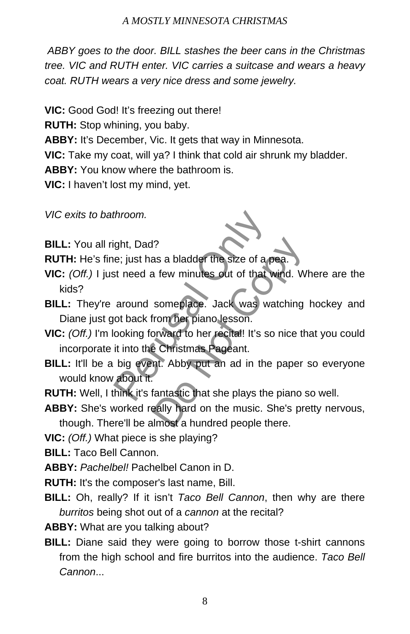*ABBY goes to the door. BILL stashes the beer cans in the Christmas tree. VIC and RUTH enter. VIC carries a suitcase and wears a heavy coat. RUTH wears a very nice dress and some jewelry.* 

**VIC:** Good God! It's freezing out there!

**RUTH:** Stop whining, you baby.

**ABBY:** It's December, Vic. It gets that way in Minnesota.

**VIC:** Take my coat, will ya? I think that cold air shrunk my bladder.

**ABBY:** You know where the bathroom is.

**VIC:** I haven't lost my mind, yet.

*VIC exits to bathroom.* 

**BILL:** You all right, Dad?

**RUTH:** He's fine; just has a bladder the size of a pea.

- **VIC:** *(Off.)* I just need a few minutes out of that wind. Where are the kids?
- **BILL:** They're around someplace. Jack was watching hockey and Diane just got back from her piano lesson.
- **VIC:** *(Off.)* I'm looking forward to her recital! It's so nice that you could incorporate it into the Christmas Pageant. throom.<br>
ght, Dad?<br>
e; just has a bladder the size of a persent area a few minutes out of that will<br>
around someplace. Jack was wat<br>
or back from her piano lesson.<br>
ooking forward to her recital! It's so is<br>
it into the Ch 1?<br>
The Size of a pea.<br>
The Notes of that wind. We someplace. Jack was watching<br>
from her piano lesson.<br>
Do Not Copyright is so nice the Christmas Pageant.<br>
The Christmas Pageant.<br>
The Christmas Pageant.<br>
The Paper fantast
- **BILL:** It'll be a big event. Abby put an ad in the paper so everyone would know about it.

**RUTH:** Well, I think it's fantastic that she plays the piano so well.

- **ABBY:** She's worked really hard on the music. She's pretty nervous, though. There'll be almost a hundred people there.
- **VIC:** *(Off.)* What piece is she playing?

**BILL:** Taco Bell Cannon.

**ABBY:** *Pachelbel!* Pachelbel Canon in D.

**RUTH:** It's the composer's last name, Bill.

**BILL:** Oh, really? If it isn't *Taco Bell Cannon*, then why are there *burritos* being shot out of a *cannon* at the recital?

**ABBY:** What are you talking about?

**BILL:** Diane said they were going to borrow those t-shirt cannons from the high school and fire burritos into the audience. *Taco Bell Cannon*...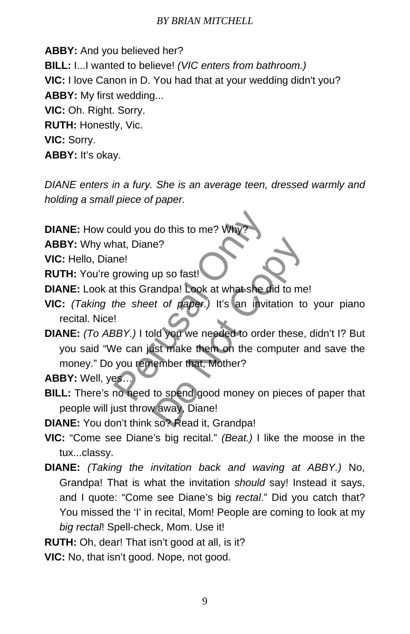**ABBY:** And you believed her? **BILL:** I...I wanted to believe! *(VIC enters from bathroom.)*  **VIC:** I love Canon in D. You had that at your wedding didn't you? **ABBY:** My first wedding... **VIC:** Oh. Right. Sorry. **RUTH:** Honestly, Vic. **VIC:** Sorry. **ABBY:** It's okay.

*DIANE enters in a fury. She is an average teen, dressed warmly and holding a small piece of paper.* 

**DIANE:** How could you do this to me? W

**ABBY:** Why what, Diane?

**VIC:** Hello, Diane!

**RUTH:** You're growing up so fast!

**DIANE:** Look at this Grandpa! Look at what she did to me!

- **VIC:** *(Taking the sheet of paper.)* It's an invitation to your piano recital. Nice!
- **DIANE:** *(To ABBY.)* I told you we needed to order these, didn't I? But you said "We can just make them on the computer and save the money." Do you remember that, Mother? buld you do this to me? Why?<br>
hat, Diane?<br>
me!<br>
growing up so fast!<br>
t this Grandpa! Look at what she did<br>
the sheet of paper.) It's an invitat<br>
!<br>
BBY.) I told you we needed to order<br>
you remember that, Mother?<br>
SS...<br>
no e?<br>
up so fast!<br>
andpa! Look at what she did to me<br>
et of paper.) It's an invitation to<br>
ld you we needed to order these,<br>
ist make them on the computer are<br>
tember that, Mother?<br>
to spend good money on pieces<br>
v away, Dia

**ABBY:** Well, yes…

**BILL:** There's no need to spend good money on pieces of paper that people will just throw away, Diane!

**DIANE:** You don't think so? Read it, Grandpa!

- **VIC:** "Come see Diane's big recital." *(Beat.)* I like the moose in the tux...classy.
- **DIANE:** *(Taking the invitation back and waving at ABBY.)* No, Grandpa! That is what the invitation *should* say! Instead it says, and I quote: "Come see Diane's big *rectal*." Did you catch that? You missed the 'I' in recital, Mom! People are coming to look at my *big rectal*! Spell-check, Mom. Use it!

**RUTH:** Oh, dear! That isn't good at all, is it?

**VIC:** No, that isn't good. Nope, not good.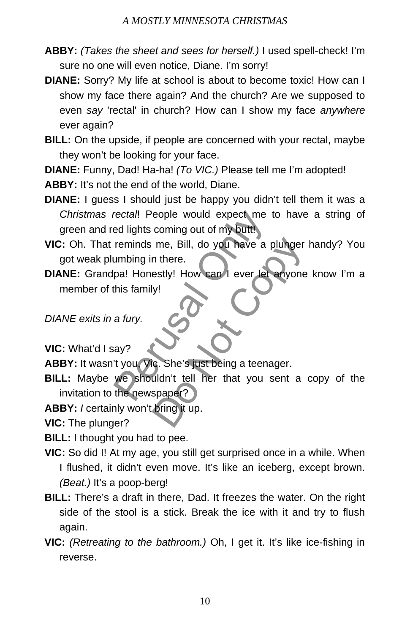- **ABBY:** *(Takes the sheet and sees for herself.)* I used spell-check! I'm sure no one will even notice, Diane. I'm sorry!
- **DIANE:** Sorry? My life at school is about to become toxic! How can I show my face there again? And the church? Are we supposed to even *say* 'rectal' in church? How can I show my face *anywhere* ever again?
- **BILL:** On the upside, if people are concerned with your rectal, maybe they won't be looking for your face.

**DIANE:** Funny, Dad! Ha-ha! *(To VIC.)* Please tell me I'm adopted!

**ABBY:** It's not the end of the world, Diane.

- **DIANE:** I guess I should just be happy you didn't tell them it was a *Christmas rectal*! People would expect me to have a string of green and red lights coming out of my butt!
- **VIC:** Oh. That reminds me, Bill, do you have a plunger handy? You got weak plumbing in there.
- **DIANE:** Grandpa! Honestly! How can I ever let anyone know I'm a member of this family! metral. People would expect me to<br>ed lights coming out of my buttlement of the paper of my buttlement of the paper of the paper of the paper of the start of the strength of the newspaper?<br>This family!<br>A strip of the streng me, Bill, do you have a plunger<br>
n there.<br>
estly! How can lever let anyone<br>
y!<br>
C. She's just being a teenager.<br>
uldn't tell her that you sent a<br>
spaper?<br>
bring it up.

*DIANE exits in a fury.*

**VIC:** What'd I say?

**ABBY:** It wasn't you, Vic. She's just being a teenager.

**BILL:** Maybe we shouldn't tell her that you sent a copy of the invitation to the newspaper?

**ABBY:** *I* certainly won't bring it up.

**VIC:** The plunger?

- **BILL:** I thought you had to pee.
- **VIC:** So did I! At my age, you still get surprised once in a while. When I flushed, it didn't even move. It's like an iceberg, except brown. *(Beat.)* It's a poop-berg!
- **BILL:** There's a draft in there, Dad. It freezes the water. On the right side of the stool is a stick. Break the ice with it and try to flush again.
- **VIC:** *(Retreating to the bathroom.)* Oh, I get it. It's like ice-fishing in reverse.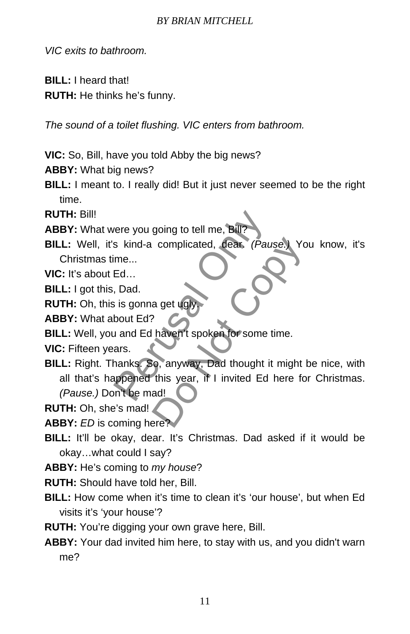*VIC exits to bathroom.*

**BILL:** I heard that!

**RUTH:** He thinks he's funny.

*The sound of a toilet flushing. VIC enters from bathroom.* 

**VIC:** So, Bill, have you told Abby the big news?

**ABBY:** What big news?

**BILL:** I meant to. I really did! But it just never seemed to be the right time.

**RUTH:** Bill!

**ABBY:** What were you going to tell me, Bill?

**BILL:** Well, it's kind-a complicated, dear. *(Pause.)* You know, it's Christmas time...

**VIC:** It's about Ed…

**BILL:** I got this, Dad.

**RUTH:** Oh, this is gonna get ugl

**ABBY:** What about Ed?

**BILL:** Well, you and Ed haven't spoken for some time.

**VIC:** Fifteen years.

**BILL:** Right. Thanks. So, anyway, Dad thought it might be nice, with all that's happened this year, if I invited Ed here for Christmas. *(Pause.)* Don't be mad! France you going to tell me, Bill?<br>
S kind-a complicated, dear. (Pauss<br>
me...<br>
Ed...<br>
Dad.<br>
S is gonna get ugly.<br>
bout Ed?<br>
J and Ed haven't spoken for some tir<br>
ars.<br>
hanks. So, anyway, Dad thought it reppened this year, complicated, dear. (Pause.) You<br>
a get ugly<br>
Naven't spoken for some time.<br>
c, anyway, Dad thought it might l<br>
this year, if I invited Ed here fo<br>
ad!

**RUTH:** Oh, she's mad!

**ABBY:** *ED* is coming here?

**BILL:** It'll be okay, dear. It's Christmas. Dad asked if it would be okay…what could I say?

**ABBY:** He's coming to *my house*?

**RUTH:** Should have told her, Bill.

- **BILL:** How come when it's time to clean it's 'our house', but when Ed visits it's 'your house'?
- **RUTH:** You're digging your own grave here, Bill.
- **ABBY:** Your dad invited him here, to stay with us, and you didn't warn me?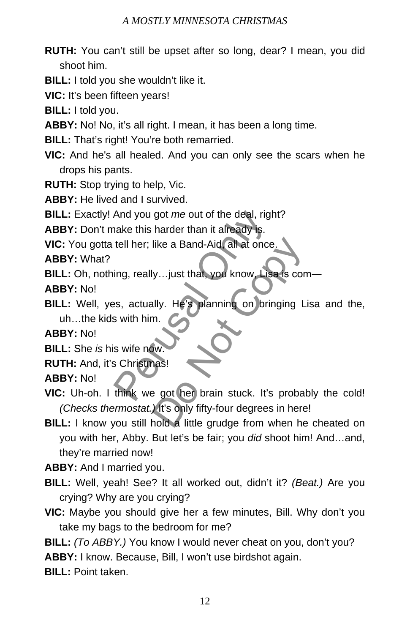- **RUTH:** You can't still be upset after so long, dear? I mean, you did shoot him.
- **BILL:** I told you she wouldn't like it.
- **VIC:** It's been fifteen years!
- **BILL:** I told you.
- **ABBY:** No! No, it's all right. I mean, it has been a long time.
- **BILL:** That's right! You're both remarried.
- **VIC:** And he's all healed. And you can only see the scars when he drops his pants.
- **RUTH:** Stop trying to help, Vic.
- **ABBY:** He lived and I survived.
- **BILL:** Exactly! And you got *me* out of the deal, right?
- **ABBY:** Don't make this harder than it already is.
- **VIC:** You gotta tell her; like a Band-Aid, all at once.

**ABBY:** What?

- **BILL:** Oh, nothing, really…just that, you know, Lisa is com―
- **ABBY:** No!
- **BILL:** Well, yes, actually. He's planning on bringing Lisa and the, uh…the kids with him. And you got *me* out of the deal, right<br>hake this harder than it already is.<br>tell her; like a Band-Aid, all at once.<br>ing, really...just that, you know. Lisa<br>es, actually. He's planning on bring<br>s with him.<br>s wife now.<br>S Ch

**ABBY:** No!

- **BILL:** She *is* his wife now.
- **RUTH:** And, it's Christmas!

**ABBY:** No!

- **VIC:** Uh-oh. I think we got her brain stuck. It's probably the cold! *(Checks thermostat.)* It's only fifty-four degrees in here! like a Band-Aid, all at once.<br>
y...just that, you know, Lisa is con<br>
lly. He's planning on bringing L<br>
m.<br>
w.<br>
as!<br>
e got her brain stuck. It's probal<br>
lt's only fifty-four degrees in here<br>
hold a little grudge from when h
- **BILL:** I know you still hold a little grudge from when he cheated on you with her, Abby. But let's be fair; you *did* shoot him! And…and, they're married now!

**ABBY:** And I married you.

- **BILL:** Well, yeah! See? It all worked out, didn't it? *(Beat.)* Are you crying? Why are you crying?
- **VIC:** Maybe you should give her a few minutes, Bill. Why don't you take my bags to the bedroom for me?
- **BILL:** *(To ABBY.)* You know I would never cheat on you, don't you?

**ABBY:** I know. Because, Bill, I won't use birdshot again.

**BILL:** Point taken.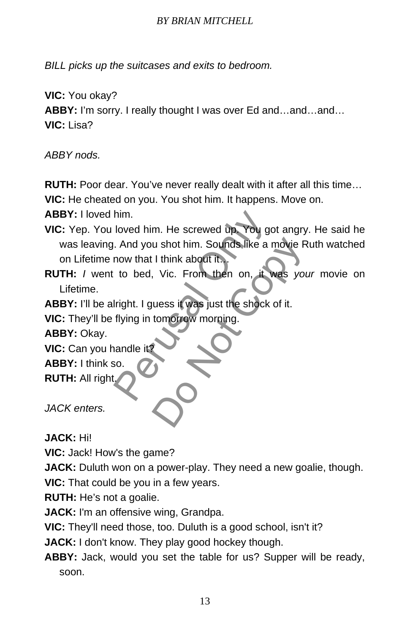*BILL picks up the suitcases and exits to bedroom.* 

**VIC:** You okay?

**ABBY:** I'm sorry. I really thought I was over Ed and…and…and… **VIC:** Lisa?

*ABBY nods.* 

**RUTH:** Poor dear. You've never really dealt with it after all this time…

**VIC:** He cheated on you. You shot him. It happens. Move on.

**ABBY:** I loved him.

- **VIC:** Yep. You loved him. He screwed up. You got angry. He said he was leaving. And you shot him. Sounds like a movie Ruth watched on Lifetime now that I think about it… him.<br>
Ioved him. He screwed up You got<br>
. And you shot him. Sounds like a m<br>
now that I think about it...<br>
to bed, Vic. From then on, it was<br>
Iright. I guess it was just the shock of<br>
flying in tomorrow morning.<br>
aandle it u shot him. Sounds like a movie R<br>1 think about it.<br>1 vic. From then on, it was you<br>wess it was just the shock of it.<br>tomorrow morning.
- **RUTH:** *I* went to bed, Vic. From then on, it was *your* movie on Lifetime.

**ABBY:** I'll be alright. I guess it was just the shock of it.

**VIC:** They'll be flying in tomorrow morning.

**ABBY:** Okay.

**VIC:** Can you handle it?

**ABBY:** I think so.

**RUTH:** All right.

*JACK enters.*

**JACK:** Hi!

**VIC:** Jack! How's the game?

**JACK:** Duluth won on a power-play. They need a new goalie, though. **VIC:** That could be you in a few years.

**RUTH:** He's not a goalie.

**JACK:** I'm an offensive wing, Grandpa.

**VIC:** They'll need those, too. Duluth is a good school, isn't it?

**JACK:** I don't know. They play good hockey though.

**ABBY:** Jack, would you set the table for us? Supper will be ready, soon.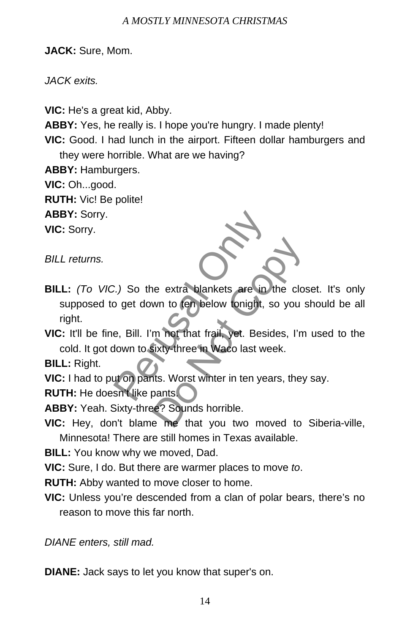**JACK:** Sure, Mom.

*JACK exits.* 

**VIC:** He's a great kid, Abby.

**ABBY:** Yes, he really is. I hope you're hungry. I made plenty!

**VIC:** Good. I had lunch in the airport. Fifteen dollar hamburgers and they were horrible. What are we having?

**ABBY:** Hamburgers.

**VIC:** Oh...good.

**RUTH:** Vic! Be polite!

**ABBY:** Sorry.

**VIC:** Sorry.

*BILL returns.*

**BILL:** *(To VIC.)* So the extra blankets are in the closet. It's only supposed to get down to ten below tonight, so you should be all right. 2.) So the extra blankets are in the perudical original of the extra blankets are in the perudical original original original original original original original original original original original original original origin Ne extra blankets are in the clos<br>wn to ten below tonight, so you s<br>m not that frail, yet. Besides, I'm<br>sixty-three in Waco last week.<br>hts. Worst winter in ten years, they<br>pants.<br>e? Sounds horrible.<br>e me that you two moved

**VIC:** It'll be fine, Bill. I'm not that frail, yet. Besides, I'm used to the cold. It got down to sixty-three in Waco last week.

**BILL:** Right.

**VIC:** I had to put on pants. Worst winter in ten years, they say.

**RUTH:** He doesn't like pants.

**ABBY:** Yeah. Sixty-three? Sounds horrible.

**VIC:** Hey, don't blame me that you two moved to Siberia-ville, Minnesota! There are still homes in Texas available.

**BILL:** You know why we moved, Dad.

**VIC:** Sure, I do. But there are warmer places to move *to*.

**RUTH:** Abby wanted to move closer to home.

**VIC:** Unless you're descended from a clan of polar bears, there's no reason to move this far north.

*DIANE enters, still mad.* 

**DIANE:** Jack says to let you know that super's on.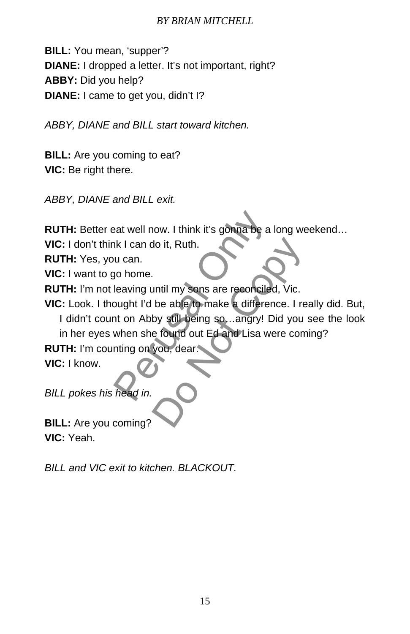**BILL:** You mean, 'supper'? **DIANE:** I dropped a letter. It's not important, right? **ABBY:** Did you help? **DIANE:** I came to get you, didn't I?

*ABBY, DIANE and BILL start toward kitchen.* 

**BILL:** Are you coming to eat? **VIC:** Be right there.

*ABBY, DIANE and BILL exit.* 

**RUTH:** Better eat well now. I think it's gonna be a long weekend…

**VIC:** I don't think I can do it, Ruth.

**RUTH:** Yes, you can.

**VIC:** I want to go home.

**RUTH:** I'm not leaving until my sons are reconciled, Vic.

**VIC:** Look. I thought I'd be able to make a difference. I really did. But,

I didn't count on Abby still being so…angry! Did you see the look in her eyes when she found out Ed and Lisa were coming? eat well now. I think it's gonna be a look I can do it, Ruth.<br>
u can.<br>
yo home.<br>
leaving until my sons are reconciled,<br>
bught I'd be able to make a difference<br>
to a Abby still being so, ..angry! Dio<br>
when she found out Ed do it, Ruth.<br>
until my sons are reconciled, Vic.<br>
be able to make a difference. I re<br>
by still being so, ..angry! Did you<br>
e found out Ed and Lisa were com<br>
you, dear.

**RUTH:** I'm counting on you, dear. **VIC:** I know.

*BILL pokes his head in.* 

**BILL:** Are you coming? **VIC:** Yeah.

*BILL and VIC exit to kitchen. BLACKOUT.*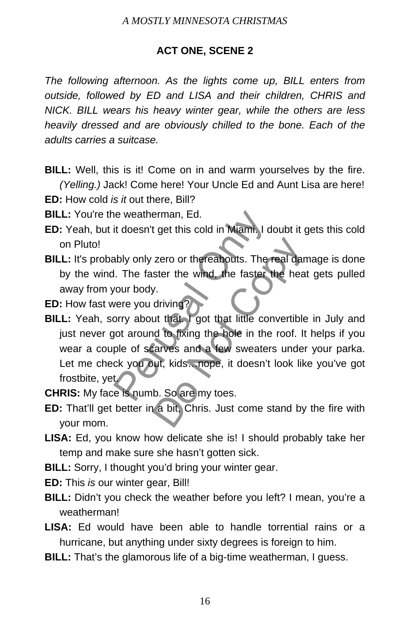# **ACT ONE, SCENE 2**

*The following afternoon. As the lights come up, BILL enters from outside, followed by ED and LISA and their children, CHRIS and NICK. BILL wears his heavy winter gear, while the others are less heavily dressed and are obviously chilled to the bone. Each of the adults carries a suitcase.* 

- **BILL:** Well, this is it! Come on in and warm yourselves by the fire. *(Yelling.)* Jack! Come here! Your Uncle Ed and Aunt Lisa are here!
- **ED:** How cold *is it* out there, Bill?
- **BILL:** You're the weatherman, Ed.
- **ED:** Yeah, but it doesn't get this cold in Miami. I doubt it gets this cold on Pluto!
- **BILL:** It's probably only zero or thereabouts. The real damage is done by the wind. The faster the wind, the faster the heat gets pulled away from your body.
- **ED:** How fast were you driving?
- **BILL:** Yeah, sorry about that. I got that little convertible in July and just never got around to fixing the hole in the roof. It helps if you wear a couple of scarves and a few sweaters under your parka. Let me check you out, kids...nope, it doesn't look like you've got frostbite, yet. ie weatherman, Ed.<br>it doesn't get this cold in Miami. I do<br>ably only zero or thereabouts. The re<br>I. The faster the wind, the faster the<br>your body.<br>yere you driving?<br>yere you driving?<br>yere you driving?<br>the faster is conveni Exero or thereabouts. The real danster the wind, the faster the heavy.<br>
The real danster the wind, the faster the heavy.<br>
The striving?<br>
Ut that I got that little convertible<br>
In the roof. It<br>
Larves and a few sweaters und
- **CHRIS:** My face is numb. So are my toes.
- **ED:** That'll get better in a bit, Chris. Just come stand by the fire with your mom.
- **LISA:** Ed, you know how delicate she is! I should probably take her temp and make sure she hasn't gotten sick.
- **BILL:** Sorry, I thought you'd bring your winter gear.
- **ED:** This *is* our winter gear, Bill!
- **BILL:** Didn't you check the weather before you left? I mean, you're a weatherman!
- **LISA:** Ed would have been able to handle torrential rains or a hurricane, but anything under sixty degrees is foreign to him.
- **BILL:** That's the glamorous life of a big-time weatherman, I guess.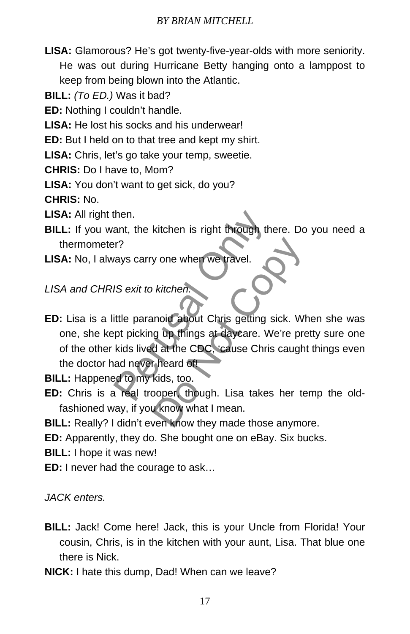- **LISA:** Glamorous? He's got twenty-five-year-olds with more seniority. He was out during Hurricane Betty hanging onto a lamppost to keep from being blown into the Atlantic.
- **BILL:** *(To ED.)* Was it bad?
- **ED:** Nothing I couldn't handle.
- **LISA:** He lost his socks and his underwear!
- **ED:** But I held on to that tree and kept my shirt.
- **LISA:** Chris, let's go take your temp, sweetie.
- **CHRIS:** Do I have to, Mom?
- **LISA:** You don't want to get sick, do you?

**CHRIS:** No.

- **LISA:** All right then.
- **BILL:** If you want, the kitchen is right through there. Do you need a thermometer?
- **LISA:** No, I always carry one when we travel.

*LISA and CHRIS exit to kitchen.* 

**ED:** Lisa is a little paranoid about Chris getting sick. When she was one, she kept picking up things at daycare. We're pretty sure one of the other kids lived at the CDC, 'cause Chris caught things even the doctor had never heard of! Then.<br>
Sexit to kitchen is right through then<br>
IS exit to kitchen.<br>
IS exit to kitchen.<br>
IS exit to kitchen.<br>
IS exit to kitchen.<br>
IS exit to kitchen.<br>
IS exit to kitchen.<br>
IS exit to kitchen.<br>
IS exit to kitchen.<br>
IS exit b kitchen.<br>
Notichen.<br>
Notichen.<br>
Notichen.<br>
Solong up things at daycare. We're pred at the CDC, 'cause Chris caught<br>
oper though. Lisa takes her text who what I mean.<br>
Notiched the what I mean.<br>
Notiched the mean.<br>
Notich

**BILL:** Happened to my kids, too.

**ED:** Chris is a real trooper, though. Lisa takes her temp the oldfashioned way, if you know what I mean.

**BILL:** Really? I didn't even know they made those anymore.

**ED:** Apparently, they do. She bought one on eBay. Six bucks.

**BILL:** I hope it was new!

**ED:** I never had the courage to ask…

*JACK enters.* 

- **BILL:** Jack! Come here! Jack, this is your Uncle from Florida! Your cousin, Chris, is in the kitchen with your aunt, Lisa. That blue one there is Nick.
- **NICK:** I hate this dump, Dad! When can we leave?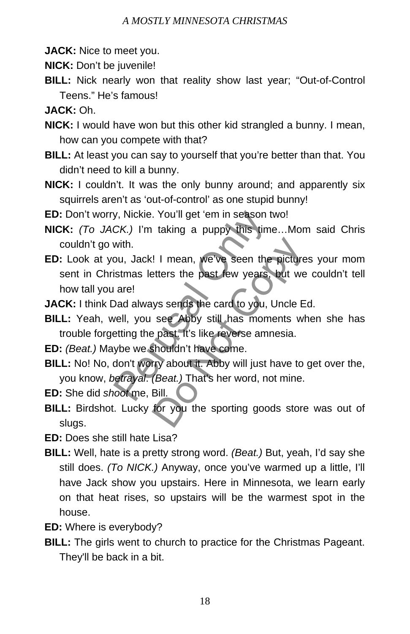**JACK:** Nice to meet you.

**NICK:** Don't be juvenile!

**BILL:** Nick nearly won that reality show last year; "Out-of-Control Teens." He's famous!

**JACK:** Oh.

- **NICK:** I would have won but this other kid strangled a bunny. I mean, how can you compete with that?
- **BILL:** At least you can say to yourself that you're better than that. You didn't need to kill a bunny.
- **NICK:** I couldn't. It was the only bunny around; and apparently six squirrels aren't as 'out-of-control' as one stupid bunny!

**ED:** Don't worry, Nickie. You'll get 'em in season two!

- **NICK:** *(To JACK.)* I'm taking a puppy this time…Mom said Chris couldn't go with.
- **ED:** Look at you, Jack! I mean, we've seen the pictures your mom sent in Christmas letters the past few years, but we couldn't tell how tall you are! y, Nickie. You'll get 'em in season tw<br>CK.) I'm taking a puppy this time.<br>with.<br>bou, Jack! I mean, we've seen the pistmas letters the past few years, b<br>are!<br>Dad always sends the card to you, U<sub>I</sub><br>vell, you see Abby still h I I mean, we've seen the picture<br>etters the past few years, but we<br>ys sends the card to you, Uncle E<br>see Abby still has moments where past. It's like reverse amnesia.<br>shouldn't have come.<br>try about it. Abby will just have

**JACK:** I think Dad always sends the card to you, Uncle Ed.

- **BILL:** Yeah, well, you see Abby still has moments when she has trouble forgetting the past. It's like reverse amnesia.
- **ED:** *(Beat.)* Maybe we shouldn't have come.
- **BILL:** No! No, don't worry about it. Abby will just have to get over the, you know, *betrayal*. *(Beat.)* That's her word, not mine.

**ED:** She did *shoot* me, Bill.

**BILL:** Birdshot. Lucky for you the sporting goods store was out of slugs.

**ED:** Does she still hate Lisa?

- **BILL:** Well, hate is a pretty strong word. *(Beat.)* But, yeah, I'd say she still does. *(To NICK.)* Anyway, once you've warmed up a little, I'll have Jack show you upstairs. Here in Minnesota, we learn early on that heat rises, so upstairs will be the warmest spot in the house.
- **ED:** Where is everybody?
- **BILL:** The girls went to church to practice for the Christmas Pageant. They'll be back in a bit.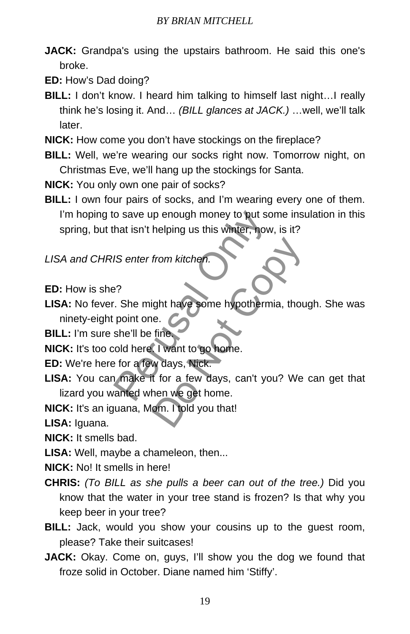**JACK:** Grandpa's using the upstairs bathroom. He said this one's broke.

**ED:** How's Dad doing?

- **BILL:** I don't know. I heard him talking to himself last night…I really think he's losing it. And… *(BILL glances at JACK.)* …well, we'll talk later.
- **NICK:** How come you don't have stockings on the fireplace?
- **BILL:** Well, we're wearing our socks right now. Tomorrow night, on Christmas Eve, we'll hang up the stockings for Santa.

**NICK:** You only own one pair of socks?

**BILL:** I own four pairs of socks, and I'm wearing every one of them. I'm hoping to save up enough money to put some insulation in this spring, but that isn't helping us this winter, now, is it?

*LISA and CHRIS enter from kitchen.* 

- **ED:** How is she?
- **LISA:** No fever. She might have some hypothermia, though. She was ninety-eight point one. o save up enough money to put som<br>hat isn't helping us this winter, now,<br>IS enter from kitchen.<br>Perusal Only the might have some hypothermize<br>point one.<br>She'll be fine<br>old here. I want to go home.<br>Perusal of the set of the from kitchen.<br>
Sight have some hypothermia, thou<br>
e.<br>
fine<br>
I want to go home.<br>
W days, Nick.<br>
I for a few days, can't you? We<br>
hen we get home.<br>
om. I told you that!

**BILL:** I'm sure she'll be fine.

**NICK:** It's too cold here. I want to go home.

**ED:** We're here for a few days, Nick.

- **LISA:** You can make it for a few days, can't you? We can get that lizard you wanted when we get home.
- **NICK:** It's an iguana, Mom. I told you that!

**LISA:** Iguana.

**NICK:** It smells bad.

**LISA:** Well, maybe a chameleon, then...

**NICK:** No! It smells in here!

- **CHRIS:** *(To BILL as she pulls a beer can out of the tree.)* Did you know that the water in your tree stand is frozen? Is that why you keep beer in your tree?
- **BILL:** Jack, would you show your cousins up to the guest room, please? Take their suitcases!
- **JACK:** Okay. Come on, guys, I'll show you the dog we found that froze solid in October. Diane named him 'Stiffy'.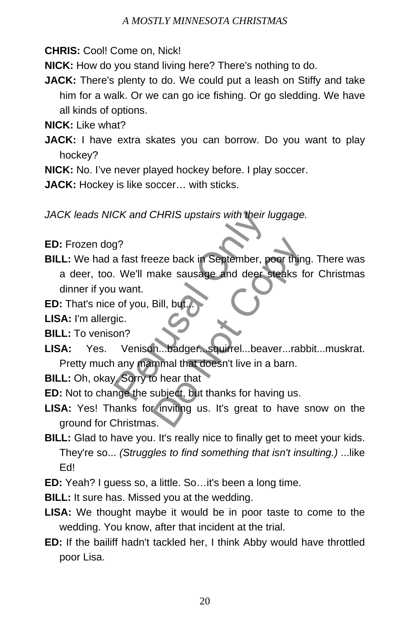**CHRIS:** Cool! Come on, Nick!

**NICK:** How do you stand living here? There's nothing to do.

**JACK:** There's plenty to do. We could put a leash on Stiffy and take him for a walk. Or we can go ice fishing. Or go sledding. We have all kinds of options.

**NICK:** Like what?

**JACK:** I have extra skates you can borrow. Do you want to play hockey?

**NICK:** No. I've never played hockey before. I play soccer.

**JACK:** Hockey is like soccer… with sticks.

*JACK leads NICK and CHRIS upstairs with their luggage.* 

**ED:** Frozen dog?

- **BILL:** We had a fast freeze back in September, poor thing. There was a deer, too. We'll make sausage and deer steaks for Christmas dinner if you want. CK and CHRIS upstairs with their lug<br>
g?<br>
a fast freeze back in September, poc<br>
We'll make sausage and deer ste<br>
i want.<br>
e of you, Bill, but...<br>
pic.<br>
on?<br>
Venison...badger... squirrel...beave<br>
any mammal that doesn't liv eze back in September, poor thing<br>nake sausage and deer steaks for<br>Bill, but...<br>Do Not Copyright in the September of the September of the September of the September of the September of the September of the September of the
- **ED:** That's nice of you, Bill, but

**LISA:** I'm allergic.

- **BILL:** To venison?
- **LISA:** Yes. Venison...badger...squirrel...beaver...rabbit...muskrat. Pretty much any mammal that doesn't live in a barn.

**BILL:** Oh, okay. Sorry to hear that

**ED:** Not to change the subject, but thanks for having us.

- LISA: Yes! Thanks for inviting us. It's great to have snow on the ground for Christmas.
- **BILL:** Glad to have you. It's really nice to finally get to meet your kids. They're so... *(Struggles to find something that isn't insulting.)* ...like Ed!

**ED:** Yeah? I guess so, a little. So…it's been a long time.

**BILL:** It sure has. Missed you at the wedding.

- **LISA:** We thought maybe it would be in poor taste to come to the wedding. You know, after that incident at the trial.
- **ED:** If the bailiff hadn't tackled her, I think Abby would have throttled poor Lisa.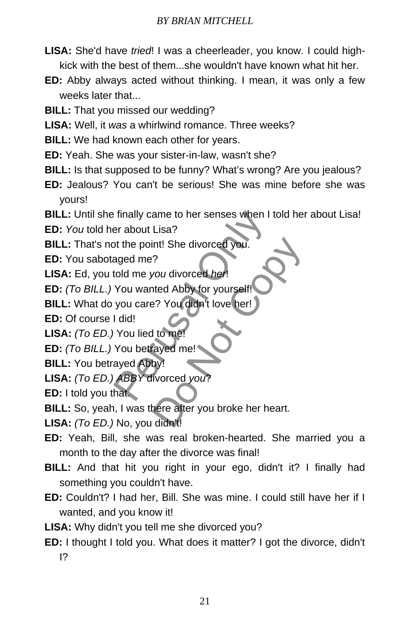- **LISA:** She'd have *tried*! I was a cheerleader, you know. I could highkick with the best of them...she wouldn't have known what hit her.
- **ED:** Abby always acted without thinking. I mean, it was only a few weeks later that...
- **BILL:** That you missed our wedding?
- **LISA:** Well, it *was* a whirlwind romance. Three weeks?
- **BILL:** We had known each other for years.
- **ED:** Yeah. She was your sister-in-law, wasn't she?
- **BILL:** Is that supposed to be funny? What's wrong? Are you jealous?
- **ED:** Jealous? You can't be serious! She was mine before she was yours!
- **BILL:** Until she finally came to her senses when I told her about Lisa!

**ED:** *You* told her about Lisa?

**BILL:** That's not the point! She divorced you.

**ED:** You sabotaged me?

**LISA:** Ed, you told me *you* divorced *her*!

**ED:** *(To BILL.)* You wanted Abby for yourself! Finally came to her senses when I to<br>er about Lisa?<br>At the point! She divorced you.<br>aged me?<br>I did!<br>You wanted Abby for yourself!<br>I did!<br>You lied to me!<br>You betrayed me!<br>You betrayed me!<br>ayed Abby!<br>ABBY divorced you?<br>hat.

**BILL:** What do you care? You didn't love her!

**ED:** Of course I did!

- **LISA:** *(To ED.)* You lied to me!
- **ED:** *(To BILL.)* You betrayed me!
- **BILL:** You betrayed Abby!

**LISA:** *(To ED.) ABBY* divorced *you*?

**ED:** I told you that.

**BILL:** So, yeah, I was there after you broke her heart. int! She divorced you.<br>
?<br>
you divorced *her*!<br>
tted Abby for yourself!<br>
Person You didn't love her!<br>
divorced you?<br>
Not copy?<br>
Not copy?<br>
Not copy?<br>
Note that a set of the person of the set of the set of the person of the

**LISA:** *(To ED.)* No, you didn't!

- **ED:** Yeah, Bill, she was real broken-hearted. She married you a month to the day after the divorce was final!
- **BILL:** And that hit you right in your ego, didn't it? I finally had something you couldn't have.
- **ED:** Couldn't? I had her, Bill. She was mine. I could still have her if I wanted, and you know it!
- **LISA:** Why didn't you tell me she divorced you?
- **ED:** I thought I told you. What does it matter? I got the divorce, didn't I?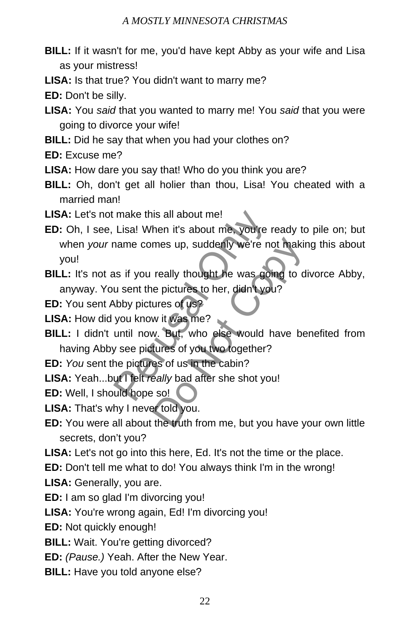- **BILL:** If it wasn't for me, you'd have kept Abby as your wife and Lisa as your mistress!
- **LISA:** Is that true? You didn't want to marry me?

**ED:** Don't be silly.

- **LISA:** You *said* that you wanted to marry me! You *said* that you were going to divorce your wife!
- **BILL:** Did he say that when you had your clothes on?
- **ED:** Excuse me?
- **LISA:** How dare you say that! Who do you think you are?
- **BILL:** Oh, don't get all holier than thou, Lisa! You cheated with a married man!
- **LISA:** Let's not make this all about me!
- **ED:** Oh, I see, Lisa! When it's about me, you're ready to pile on; but when *your* name comes up, suddenly we're not making this about you! make this all about me!<br>Lisa! When it's about me, you're re<br>name comes up, suddenly we're not<br>as if you really thought he was goin<br>u sent the pictures to her, didn't you'<br>who wit was me?<br>until now. But, who else would hay<br>
- **BILL:** It's not as if you really thought he was going to divorce Abby, anyway. You sent the pictures to her, didn't you? mes up, suddenly we're not makin<br>really thought he was going to d<br>e pictures to her, didn't you?<br>ures of us?<br>w it was me?<br>w. But, who else would have be<br>tures of you two together?<br>es of us in the cabin?<br>eally bad after she
- **ED:** You sent Abby pictures of us?
- **LISA:** How did you know it was me?
- **BILL:** I didn't until now. But, who else would have benefited from having Abby see pictures of you two together?
- **ED:** *You* sent the pictures of us in the cabin?
- **LISA:** Yeah...but I felt *really* bad after she shot you!
- **ED:** Well, I should hope so!
- **LISA:** That's why I never told you.
- **ED:** You were all about the truth from me, but you have your own little secrets, don't you?
- **LISA:** Let's not go into this here, Ed. It's not the time or the place.
- **ED:** Don't tell me what to do! You always think I'm in the wrong!
- **LISA:** Generally, you are.
- **ED:** I am so glad I'm divorcing you!
- **LISA:** You're wrong again, Ed! I'm divorcing you!
- **ED:** Not quickly enough!
- **BILL:** Wait. You're getting divorced?
- **ED:** *(Pause.)* Yeah. After the New Year.
- **BILL:** Have you told anyone else?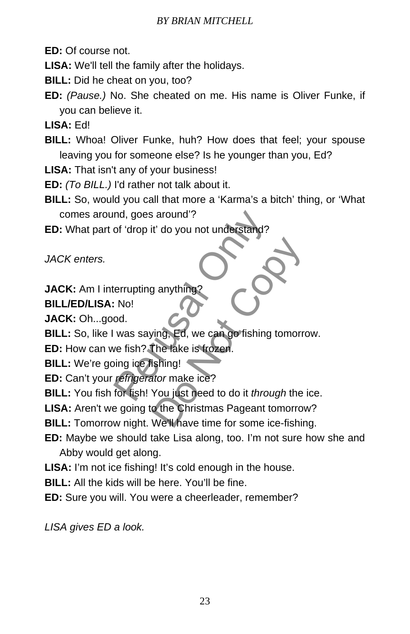**ED:** Of course not.

**LISA:** We'll tell the family after the holidays.

**BILL:** Did he cheat on you, too?

**ED:** *(Pause.)* No. She cheated on me. His name is Oliver Funke, if you can believe it.

**LISA:** Ed!

**BILL:** Whoa! Oliver Funke, huh? How does that feel; your spouse leaving you for someone else? Is he younger than you, Ed?

**LISA:** That isn't any of your business!

**ED:** *(To BILL.)* I'd rather not talk about it.

**BILL:** So, would you call that more a 'Karma's a bitch' thing, or 'What comes around, goes around'?

**ED:** What part of 'drop it' do you not understand?

*JACK enters.* 

**JACK:** Am I interrupting anything

**BILL/ED/LISA:** No!

**JACK:** Oh...good.

**BILL:** So, like I was saying, Ed, we can go fishing tomorrow.

**ED:** How can we fish? The lake is frozen.

**BILL:** We're going ice fishing!

**ED:** Can't your *refrigerator* make ice?

**BILL:** You fish for fish! You just need to do it *through* the ice. nd, goes around?<br>
of 'drop it' do you not understand?<br>
errupting anything?<br>
No!<br>
od.<br>
was saying, Ed, we can go fishing to<br>
we fish? The lake is frozen.<br>
ing ice fishing!<br>
refrigerator make ice?<br>
for fish! You just need to Ed, we can go fishing tomorre<br>
ving, Ed, we can go fishing tomorre<br>
The lake is frozen.<br>
Ishing!<br>
Nou just need to do it *through* the<br>
o the Christmas Pageant tomorrow<br>
We'll have time for some ice-fishing

**LISA:** Aren't we going to the Christmas Pageant tomorrow?

**BILL:** Tomorrow night. We'll have time for some ice-fishing.

**ED:** Maybe we should take Lisa along, too. I'm not sure how she and Abby would get along.

**LISA:** I'm not ice fishing! It's cold enough in the house.

**BILL:** All the kids will be here. You'll be fine.

**ED:** Sure you will. You were a cheerleader, remember?

*LISA gives ED a look.*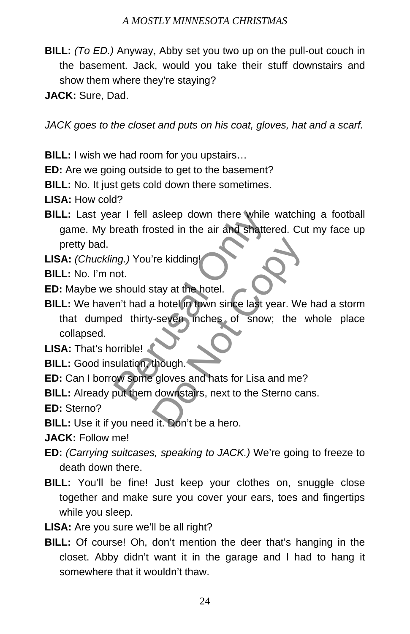- **BILL:** *(To ED.)* Anyway, Abby set you two up on the pull-out couch in the basement. Jack, would you take their stuff downstairs and show them where they're staying?
- **JACK:** Sure, Dad.

*JACK goes to the closet and puts on his coat, gloves, hat and a scarf.* 

**BILL:** I wish we had room for you upstairs…

**ED:** Are we going outside to get to the basement?

**BILL:** No. It just gets cold down there sometimes.

**LISA:** How cold?

**BILL:** Last year I fell asleep down there while watching a football game. My breath frosted in the air and shattered. Cut my face up pretty bad.

**LISA:** *(Chuckling.)* You're kidding!

**BILL:** No. I'm not.

**ED:** Maybe we should stay at the hotel.

**BILL:** We haven't had a hotel in town since last year. We had a storm that dumped thirty-seven inches of snow; the whole place collapsed. The I alsep down there while where the vertex of shatter<br>and shatter and shatter<br>and the air and shatter<br>and the should stay at the hotel.<br>The should stay at the hotel.<br>The show is the show:<br>and the show is of show;<br>and th The kidding!<br>
Stay at the hotel.<br>
A hotel in town since last year. We<br>
Seven inches of snow; the<br>
Stay of snow; the<br>
Stay of snow; the<br>
Stay of snow; the<br>
Stay of snow; the<br>
Stay of snow; the<br>
Stay of snow; the<br>
Stay of sn

**LISA:** That's horrible!

**BILL:** Good insulation, though.

**ED:** Can I borrow some gloves and hats for Lisa and me?

**BILL:** Already put them downstairs, next to the Sterno cans.

**ED:** Sterno?

**BILL:** Use it if you need it. Don't be a hero.

**JACK:** Follow me!

- **ED:** *(Carrying suitcases, speaking to JACK.)* We're going to freeze to death down there.
- **BILL:** You'll be fine! Just keep your clothes on, snuggle close together and make sure you cover your ears, toes and fingertips while you sleep.
- **LISA:** Are you sure we'll be all right?
- **BILL:** Of course! Oh, don't mention the deer that's hanging in the closet. Abby didn't want it in the garage and I had to hang it somewhere that it wouldn't thaw.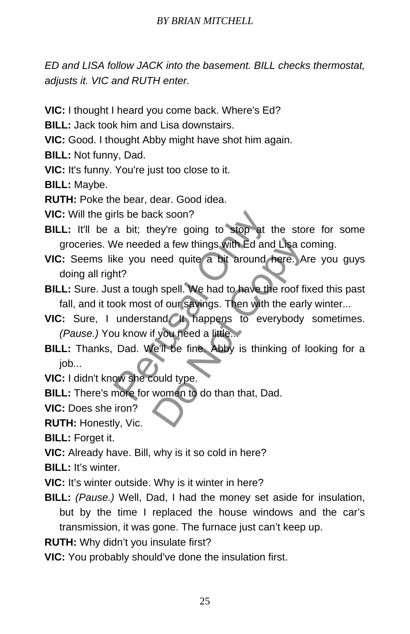*ED and LISA follow JACK into the basement. BILL checks thermostat, adjusts it. VIC and RUTH enter.* 

- **VIC:** I thought I heard you come back. Where's Ed?
- **BILL:** Jack took him and Lisa downstairs.
- **VIC:** Good. I thought Abby might have shot him again.
- **BILL:** Not funny, Dad.

**VIC:** It's funny. You're just too close to it.

**BILL:** Maybe.

**RUTH:** Poke the bear, dear. Good idea.

**VIC:** Will the girls be back soon?

- **BILL:** It'll be a bit; they're going to stop at the store for some groceries. We needed a few things with Ed and Lisa coming.
- **VIC:** Seems like you need quite a bit around here. Are you guys doing all right? rls be back soon?<br>
a bit; they're going to stop at th<br>
We needed a few things with Ed and<br>
ke you need quite a bit around he<br>
ht?<br>
st a tough spell. We had to have the<br>
bok most of our savings. Then with th<br>
understand (It ed a few things with Ed and Lisa comeed quite a bit around here. A<br>h spell. We had to have the roof fi<br>of our savings. Then with the earl<br>and Cit, happens to everybody<br>f you need a little...<br>fell be fine. Abby is thinking
- **BILL:** Sure. Just a tough spell. We had to have the roof fixed this past fall, and it took most of our savings. Then with the early winter...
- **VIC:** Sure, I understand. It happens to everybody sometimes. *(Pause.)* You know if you need a little...
- **BILL:** Thanks, Dad. We'll be fine. Abby is thinking of looking for a iob...
- **VIC:** I didn't know she could type.
- **BILL:** There's more for women to do than that, Dad.
- **VIC:** Does she iron?

**RUTH:** Honestly, Vic.

**BILL:** Forget it.

**VIC:** Already have. Bill, why is it so cold in here?

**BILL:** It's winter.

- **VIC:** It's winter outside. Why is it winter in here?
- **BILL:** *(Pause.)* Well, Dad, I had the money set aside for insulation, but by the time I replaced the house windows and the car's transmission, it was gone. The furnace just can't keep up.
- **RUTH:** Why didn't you insulate first?
- **VIC:** You probably should've done the insulation first.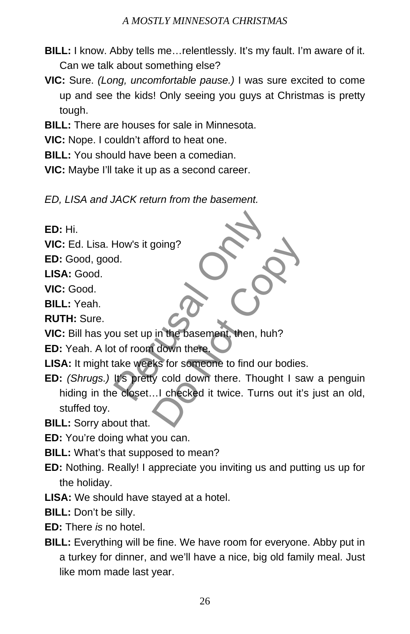- **BILL:** I know. Abby tells me…relentlessly. It's my fault. I'm aware of it. Can we talk about something else?
- **VIC:** Sure. *(Long, uncomfortable pause.)* I was sure excited to come up and see the kids! Only seeing you guys at Christmas is pretty tough.
- **BILL:** There are houses for sale in Minnesota.
- **VIC:** Nope. I couldn't afford to heat one.
- **BILL:** You should have been a comedian.
- **VIC:** Maybe I'll take it up as a second career.
- *ED, LISA and JACK return from the basement.*

**ED:** Hi.

**VIC:** Ed. Lisa. How's it going?

**ED:** Good, good.

**LISA:** Good.

**VIC:** Good.

**BILL:** Yeah.

**RUTH:** Sure.

**VIC:** Bill has you set up in the basement, then, huh?

**ED:** Yeah. A lot of room down there.

- **LISA:** It might take weeks for someone to find our bodies.
- **ED:** *(Shrugs.)* It's pretty cold down there. Thought I saw a penguin hiding in the closet...I checked it twice. Turns out it's just an old, stuffed toy. How's it going?<br>
d.<br>
bu set up in the basement, then, huh't t of room down there.<br>
ake weeks for someone to find our b<br>
It's pretty cold down there. Though<br>
e closet...! checked it twice. Turns going?<br>
Society<br>
in the basement, then, huh?<br>
I down there.<br>
Iks for someone to find our bodies.<br>
y cold down there. Thought I sat<br>
...I checked it twice. Turns out it's

**BILL:** Sorry about that.

- **ED:** You're doing what you can.
- **BILL:** What's that supposed to mean?
- **ED:** Nothing. Really! I appreciate you inviting us and putting us up for the holiday.
- **LISA:** We should have stayed at a hotel.
- **BILL:** Don't be silly.
- **ED:** There *is* no hotel.
- **BILL:** Everything will be fine. We have room for everyone. Abby put in a turkey for dinner, and we'll have a nice, big old family meal. Just like mom made last year.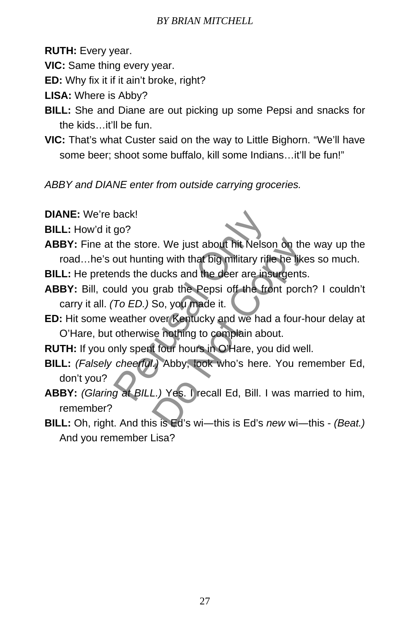**RUTH:** Every year.

**VIC:** Same thing every year.

**ED:** Why fix it if it ain't broke, right?

**LISA:** Where is Abby?

- **BILL:** She and Diane are out picking up some Pepsi and snacks for the kids…it'll be fun.
- **VIC:** That's what Custer said on the way to Little Bighorn. "We'll have some beer; shoot some buffalo, kill some Indians…it'll be fun!"

*ABBY and DIANE enter from outside carrying groceries.* 

**DIANE:** We're back!

**BILL:** How'd it go?

- **ABBY:** Fine at the store. We just about hit Nelson on the way up the road…he's out hunting with that big military rifle he likes so much. back!<br>go?<br>the store. We just about hit Nelson<br>out hunting with that big military rifle<br>nds the ducks and the deer are insural<br>uld you grab the Pepsi off the from<br>To ED.) So, you made it.<br>weather over Kentucky and we had a<br>
- **BILL:** He pretends the ducks and the deer are insurgents.
- **ABBY:** Bill, could you grab the Pepsi off the front porch? I couldn't carry it all. *(To ED.)* So, you made it.
- **ED:** Hit some weather over Kentucky and we had a four-hour delay at O'Hare, but otherwise nothing to complain about.

**RUTH:** If you only spent four hours in O'Hare, you did well.

- **BILL:** *(Falsely cheerful.)* Abby, look who's here. You remember Ed, don't you?
- **ABBY:** *(Glaring at BILL.)* Yes. I recall Ed, Bill. I was married to him, remember? e. We just about hit Nelson on the<br>ng with that big military rifle he like<br>ducks and the deer are insurgents<br>grab the Pepsi off the front porc<br>So, you made it.<br>Note: Note front porce<br>of the front porce<br>of the front porce<br>o
- **BILL:** Oh, right. And this is Ed's wi―this is Ed's *new* wi―this *(Beat.)* And you remember Lisa?